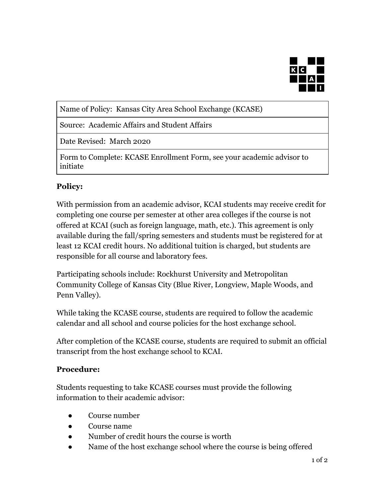

Name of Policy: Kansas City Area School Exchange (KCASE)

Source: Academic Affairs and Student Affairs

Date Revised: March 2020

Form to Complete: KCASE Enrollment Form, see your academic advisor to initiate

## **Policy:**

With permission from an academic advisor, KCAI students may receive credit for completing one course per semester at other area colleges if the course is not offered at KCAI (such as foreign language, math, etc.). This agreement is only available during the fall/spring semesters and students must be registered for at least 12 KCAI credit hours. No additional tuition is charged, but students are responsible for all course and laboratory fees.

Participating schools include: Rockhurst University and Metropolitan Community College of Kansas City (Blue River, Longview, Maple Woods, and Penn Valley).

While taking the KCASE course, students are required to follow the academic calendar and all school and course policies for the host exchange school.

After completion of the KCASE course, students are required to submit an official transcript from the host exchange school to KCAI.

## **Procedure:**

Students requesting to take KCASE courses must provide the following information to their academic advisor:

- Course number
- Course name
- Number of credit hours the course is worth
- Name of the host exchange school where the course is being offered